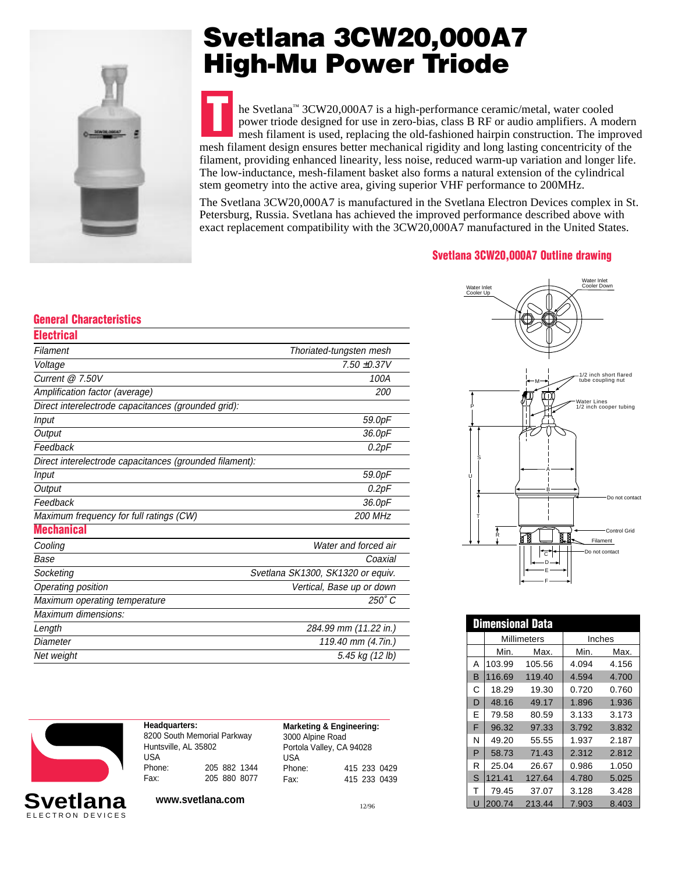

# **Svetlana 3CW20,000A7 High-Mu Power Triode**

**T** he Svetlana™ 3CW20,000A7 is a high-performance ceramic/metal, water cooled power triode designed for use in zero-bias, class B RF or audio amplifiers. A modern mesh filament is used, replacing the old-fashioned hairpin construction. The improved mesh filament design ensures better mechanical rigidity and long lasting concentricity of the filament, providing enhanced linearity, less noise, reduced warm-up variation and longer life. The low-inductance, mesh-filament basket also forms a natural extension of the cylindrical stem geometry into the active area, giving superior VHF performance to 200MHz.

The Svetlana 3CW20,000A7 is manufactured in the Svetlana Electron Devices complex in St. Petersburg, Russia. Svetlana has achieved the improved performance described above with exact replacement compatibility with the 3CW20,000A7 manufactured in the United States.

#### **Svetlana 3CW20,000A7 Outline drawing**

### **General Characteristics**

| <b>Electrical</b>                                       |                                   |
|---------------------------------------------------------|-----------------------------------|
| Filament                                                | Thoriated-tungsten mesh           |
| Voltage                                                 | $7.50 + 0.37V$                    |
| Current @ 7.50V                                         | 100A                              |
| Amplification factor (average)                          | 200                               |
| Direct interelectrode capacitances (grounded grid):     |                                   |
| <b>Input</b>                                            | 59.0pF                            |
| Output                                                  | 36.0pF                            |
| Feedback                                                | 0.2pF                             |
| Direct interelectrode capacitances (grounded filament): |                                   |
| <b>Input</b>                                            | 59.0pF                            |
| Output                                                  | 0.2pF                             |
| Feedback                                                | 36.0pF                            |
| Maximum frequency for full ratings (CW)                 | <b>200 MHz</b>                    |
| <b>Mechanical</b>                                       |                                   |
| Cooling                                                 | Water and forced air              |
| Base                                                    | Coaxial                           |
| Socketing                                               | Svetlana SK1300, SK1320 or equiv. |
| Operating position                                      | Vertical, Base up or down         |
| Maximum operating temperature                           | $250^\circ C$                     |
| Maximum dimensions:                                     |                                   |
| Length                                                  | 284.99 mm (11.22 in.)             |
| Diameter                                                | 119.40 mm (4.7in.)                |
| Net weight                                              | 5.45 kg (12 lb)                   |
|                                                         |                                   |



| Headquarters:               |  |              |              |  |  |  |  |  |
|-----------------------------|--|--------------|--------------|--|--|--|--|--|
| 8200 South Memorial Parkway |  |              |              |  |  |  |  |  |
| Huntsville, AL 35802        |  |              |              |  |  |  |  |  |
| USA                         |  |              |              |  |  |  |  |  |
| Phone:                      |  |              | 205 882 1344 |  |  |  |  |  |
| Fax:                        |  | 205 880 8077 |              |  |  |  |  |  |

| <b>Marketing &amp; Engineering:</b> |  |  |              |  |
|-------------------------------------|--|--|--------------|--|
| 3000 Alpine Road                    |  |  |              |  |
| Portola Valley, CA 94028            |  |  |              |  |
| <b>USA</b>                          |  |  |              |  |
| Phone:                              |  |  | 415 233 0429 |  |
| Fax:                                |  |  | 415 233 0439 |  |

**www.svetlana.com** 12/96



| <b>Dimensional Data</b> |        |             |        |       |  |  |
|-------------------------|--------|-------------|--------|-------|--|--|
|                         |        | Millimeters | Inches |       |  |  |
|                         | Min.   | Max.        | Min.   | Max.  |  |  |
| А                       | 103.99 | 105.56      | 4.094  | 4.156 |  |  |
| в                       | 116.69 | 119.40      | 4.594  | 4.700 |  |  |
| C                       | 18.29  | 19.30       | 0.720  | 0.760 |  |  |
| D                       | 48.16  | 49.17       | 1.896  | 1.936 |  |  |
| E                       | 79.58  | 80.59       | 3.133  | 3.173 |  |  |
| F                       | 96.32  | 97.33       | 3.792  | 3.832 |  |  |
| N                       | 49.20  | 55.55       | 1.937  | 2.187 |  |  |
| P                       | 58.73  | 71.43       | 2.312  | 2.812 |  |  |
| R                       | 25.04  | 26.67       | 0.986  | 1.050 |  |  |
| S                       | 121.41 | 127.64      | 4.780  | 5.025 |  |  |
| т                       | 79.45  | 37.07       | 3.128  | 3.428 |  |  |
|                         | 200.74 | 213.44      | 7.903  | 8.403 |  |  |